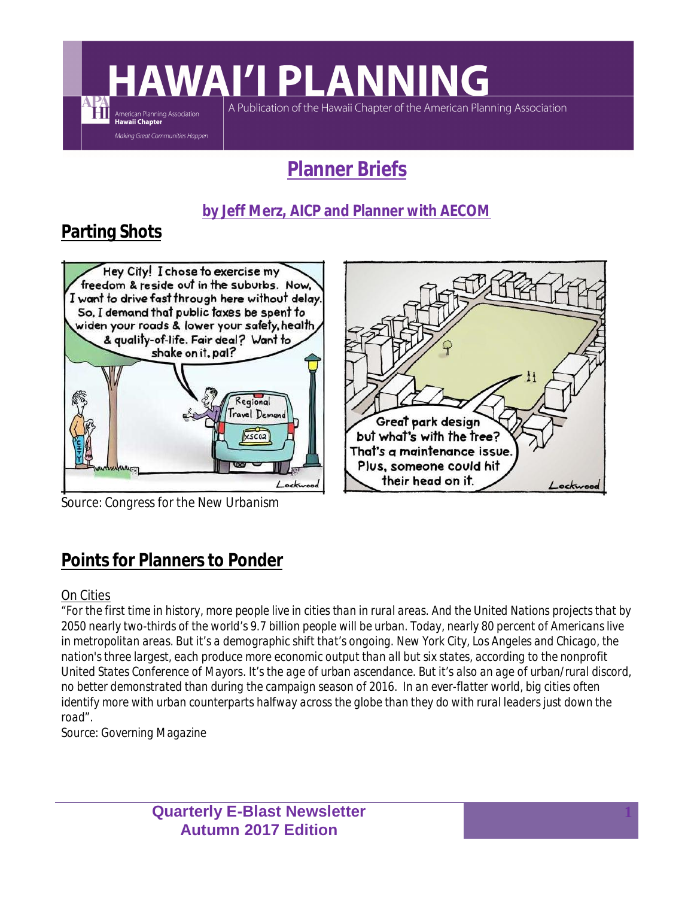# **AWAI'I PLANNING**

A Publication of the Hawaii Chapter of the American Planning Association

### **Planner Briefs**

#### **by Jeff Merz, AICP and Planner with AECOM**

### **Parting Shots**

ĦÌ

American Planning Association<br>**Hawaii Chapter** Making Great Communities Happen



*Source: Congress for the New Urbanism*

## Great park design but what's with the tree? That's a maintenance issue. Plus, someone could hit their head on it. Lockwood

#### **Points for Planners to Ponder**

#### On Cities

*"For the first time in history, more people live in cities than in rural areas. And the United Nations projects that by 2050 nearly two-thirds of the world's 9.7 billion people will be urban. Today, nearly 80 percent of Americans live in metropolitan areas. But it's a demographic shift that's ongoing. New York City, Los Angeles and Chicago, the nation's three largest, each produce more economic output than all but six states, according to the nonprofit United States Conference of Mayors. It's the age of urban ascendance. But it's also an age of urban/rural discord, no better demonstrated than during the campaign season of 2016. In an ever-flatter world, big cities often identify more with urban counterparts halfway across the globe than they do with rural leaders just down the road".*

*Source: Governing Magazine*

**Quarterly E-Blast Newsletter Autumn 2017 Edition**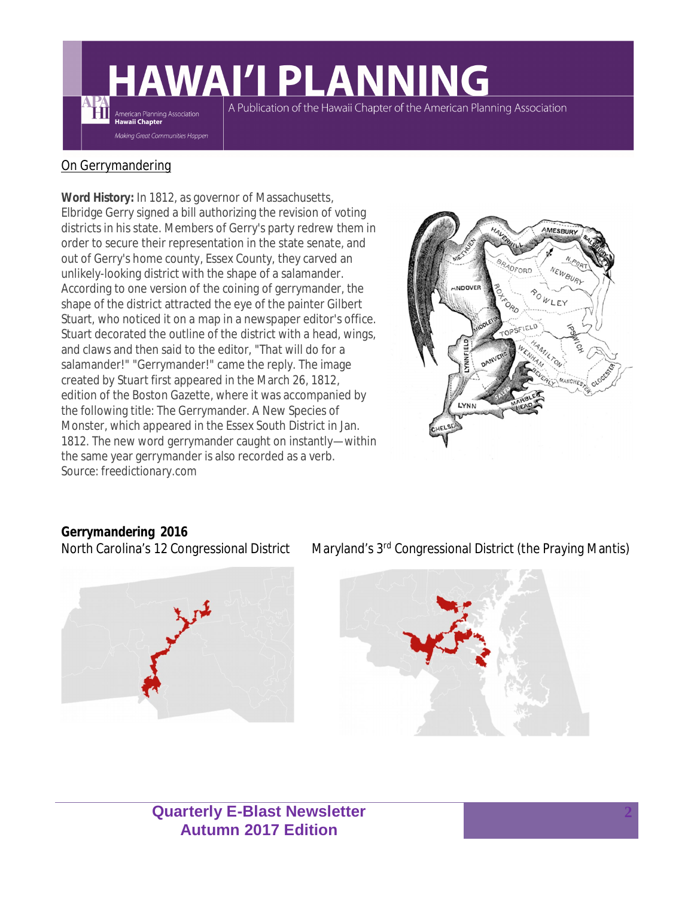# **AWAI'I PLANNING**

A Publication of the Hawaii Chapter of the American Planning Association

#### On Gerrymandering

American Planning Association<br>Hawaii Chapter .<br>Making Great Communities Happen

**Word History:** In 1812, as governor of Massachusetts, Elbridge Gerry signed a bill authorizing the revision of voting districts in his state. Members of Gerry's party redrew them in order to secure their representation in the state senate, and out of Gerry's home county, Essex County, they carved an unlikely-looking district with the shape of a salamander. According to one version of the coining of gerrymander, the shape of the district attracted the eye of the painter Gilbert Stuart, who noticed it on a map in a newspaper editor's office. Stuart decorated the outline of the district with a head, wings, and claws and then said to the editor, "That will do for a salamander!" "Gerrymander!" came the reply. The image created by Stuart first appeared in the March 26, 1812, edition of the Boston Gazette, where it was accompanied by the following title: The Gerrymander. A New Species of Monster, which appeared in the Essex South District in Jan. 1812. The new word gerrymander caught on instantly—within the same year gerrymander is also recorded as a verb. *Source: freedictionary.com*



## **Gerrymandering 2016**



North Carolina's 12 Congressional District Maryland's 3<sup>rd</sup> Congressional District (the Praying Mantis)